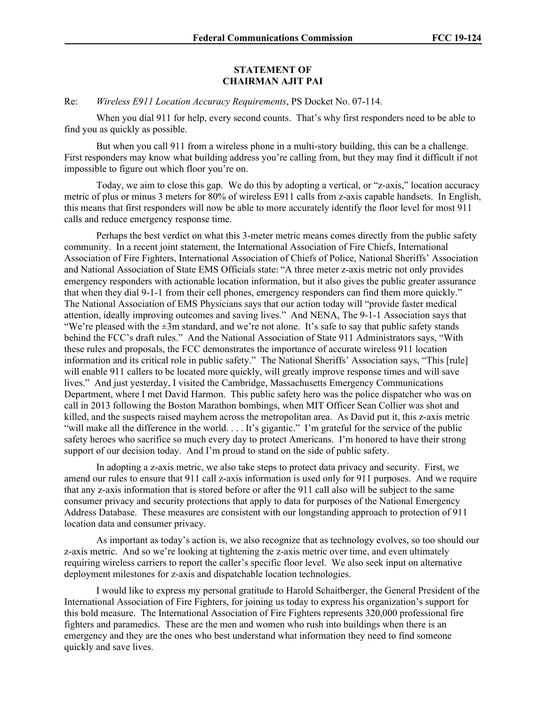## **STATEMENT OF CHAIRMAN AJIT PAI**

Re: *Wireless E911 Location Accuracy Requirements*, PS Docket No. 07-114.

When you dial 911 for help, every second counts. That's why first responders need to be able to find you as quickly as possible.

But when you call 911 from a wireless phone in a multi-story building, this can be a challenge. First responders may know what building address you're calling from, but they may find it difficult if not impossible to figure out which floor you're on.

Today, we aim to close this gap. We do this by adopting a vertical, or "z-axis," location accuracy metric of plus or minus 3 meters for 80% of wireless E911 calls from z-axis capable handsets. In English, this means that first responders will now be able to more accurately identify the floor level for most 911 calls and reduce emergency response time.

Perhaps the best verdict on what this 3-meter metric means comes directly from the public safety community. In a recent joint statement, the International Association of Fire Chiefs, International Association of Fire Fighters, International Association of Chiefs of Police, National Sheriffs' Association and National Association of State EMS Officials state: "A three meter z-axis metric not only provides emergency responders with actionable location information, but it also gives the public greater assurance that when they dial 9-1-1 from their cell phones, emergency responders can find them more quickly." The National Association of EMS Physicians says that our action today will "provide faster medical attention, ideally improving outcomes and saving lives." And NENA, The 9-1-1 Association says that "We're pleased with the  $\pm 3m$  standard, and we're not alone. It's safe to say that public safety stands behind the FCC's draft rules." And the National Association of State 911 Administrators says, "With these rules and proposals, the FCC demonstrates the importance of accurate wireless 911 location information and its critical role in public safety." The National Sheriffs' Association says, "This [rule] will enable 911 callers to be located more quickly, will greatly improve response times and will save lives." And just yesterday, I visited the Cambridge, Massachusetts Emergency Communications Department, where I met David Harmon. This public safety hero was the police dispatcher who was on call in 2013 following the Boston Marathon bombings, when MIT Officer Sean Collier was shot and killed, and the suspects raised mayhem across the metropolitan area. As David put it, this z-axis metric "will make all the difference in the world. . . . It's gigantic." I'm grateful for the service of the public safety heroes who sacrifice so much every day to protect Americans. I'm honored to have their strong support of our decision today. And I'm proud to stand on the side of public safety.

In adopting a z-axis metric, we also take steps to protect data privacy and security. First, we amend our rules to ensure that 911 call z-axis information is used only for 911 purposes. And we require that any z-axis information that is stored before or after the 911 call also will be subject to the same consumer privacy and security protections that apply to data for purposes of the National Emergency Address Database. These measures are consistent with our longstanding approach to protection of 911 location data and consumer privacy.

As important as today's action is, we also recognize that as technology evolves, so too should our z-axis metric. And so we're looking at tightening the z-axis metric over time, and even ultimately requiring wireless carriers to report the caller's specific floor level. We also seek input on alternative deployment milestones for z-axis and dispatchable location technologies.

I would like to express my personal gratitude to Harold Schaitberger, the General President of the International Association of Fire Fighters, for joining us today to express his organization's support for this bold measure. The International Association of Fire Fighters represents 320,000 professional fire fighters and paramedics. These are the men and women who rush into buildings when there is an emergency and they are the ones who best understand what information they need to find someone quickly and save lives.